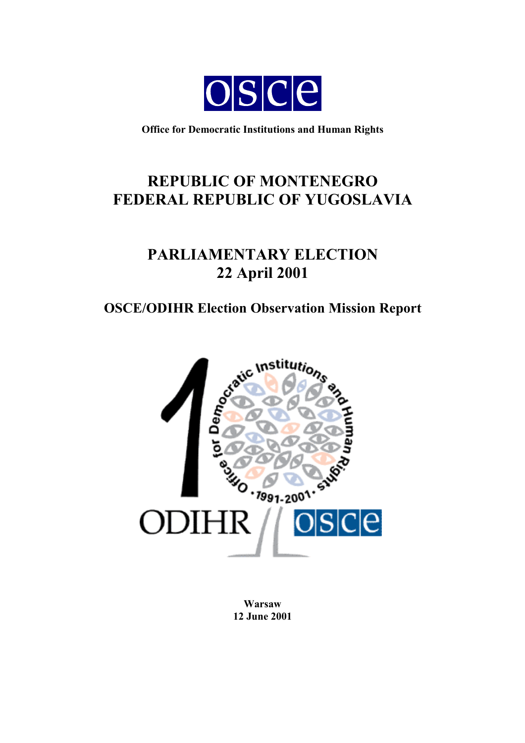

**Office for Democratic Institutions and Human Rights**

# **REPUBLIC OF MONTENEGRO FEDERAL REPUBLIC OF YUGOSLAVIA**

# **PARLIAMENTARY ELECTION 22 April 2001**

# **OSCE/ODIHR Election Observation Mission Report**



**Warsaw 12 June 2001**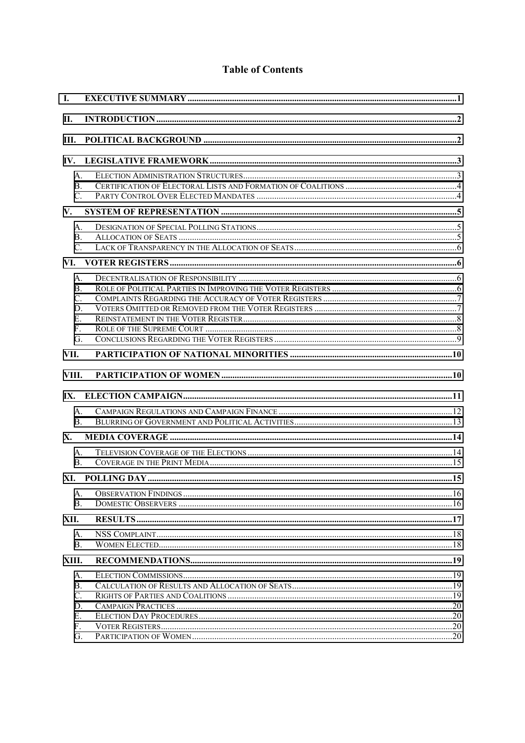# **Table of Contents**

| I.                                             |  |
|------------------------------------------------|--|
| П.                                             |  |
| Ш.                                             |  |
| IV.                                            |  |
| А.<br>$B_{\cdot}$<br>C.                        |  |
| V.                                             |  |
| $\mathsf{A}$ .<br><b>B</b> .<br>$C_{\cdot}$    |  |
| VI.                                            |  |
| А.<br><b>B</b> .<br>C.<br>D.<br>Е.<br>F.<br>G. |  |
| VII.                                           |  |
| VIII.                                          |  |
|                                                |  |
| А.<br>$\mathbf{B}$ .                           |  |
| X.                                             |  |
| A.<br>$\mathbf{B}$ .                           |  |
|                                                |  |
| A.<br>B.                                       |  |
| XII.                                           |  |
| А.<br><b>B.</b>                                |  |
| XIII.                                          |  |
| А.<br>В.<br>$\mathcal{C}$ .<br>D.<br>Е.<br>F.  |  |
| G.                                             |  |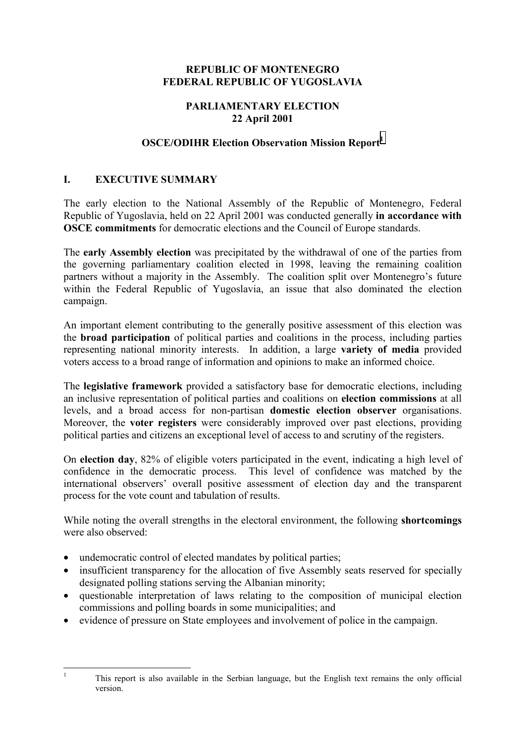#### <span id="page-2-0"></span>**REPUBLIC OF MONTENEGRO FEDERAL REPUBLIC OF YUGOSLAVIA**

# **PARLIAMENTARY ELECTION 22 April 2001**

# **OSCE/ODIHR Election Observation Mission Report<sup>1</sup>**

# **I. EXECUTIVE SUMMARY**

The early election to the National Assembly of the Republic of Montenegro, Federal Republic of Yugoslavia, held on 22 April 2001 was conducted generally **in accordance with OSCE commitments** for democratic elections and the Council of Europe standards.

The **early Assembly election** was precipitated by the withdrawal of one of the parties from the governing parliamentary coalition elected in 1998, leaving the remaining coalition partners without a majority in the Assembly. The coalition split over Montenegro's future within the Federal Republic of Yugoslavia, an issue that also dominated the election campaign.

An important element contributing to the generally positive assessment of this election was the **broad participation** of political parties and coalitions in the process, including parties representing national minority interests. In addition, a large **variety of media** provided voters access to a broad range of information and opinions to make an informed choice.

The **legislative framework** provided a satisfactory base for democratic elections, including an inclusive representation of political parties and coalitions on **election commissions** at all levels, and a broad access for non-partisan **domestic election observer** organisations. Moreover, the **voter registers** were considerably improved over past elections, providing political parties and citizens an exceptional level of access to and scrutiny of the registers.

On **election day**, 82% of eligible voters participated in the event, indicating a high level of confidence in the democratic process. This level of confidence was matched by the international observers' overall positive assessment of election day and the transparent process for the vote count and tabulation of results.

While noting the overall strengths in the electoral environment, the following **shortcomings** were also observed:

• undemocratic control of elected mandates by political parties;

 $\frac{1}{1}$ 

- insufficient transparency for the allocation of five Assembly seats reserved for specially designated polling stations serving the Albanian minority;
- questionable interpretation of laws relating to the composition of municipal election commissions and polling boards in some municipalities; and
- evidence of pressure on State employees and involvement of police in the campaign.

This report is also available in the Serbian language, but the English text remains the only official version.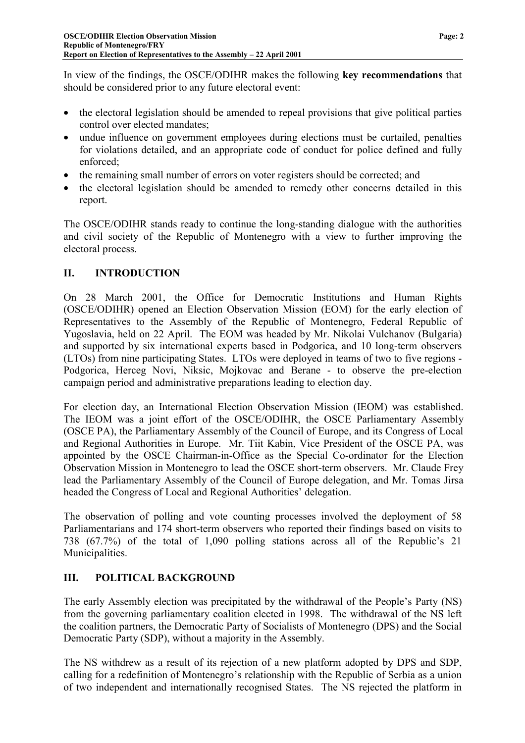<span id="page-3-0"></span>In view of the findings, the OSCE/ODIHR makes the following **key recommendations** that should be considered prior to any future electoral event:

- the electoral legislation should be amended to repeal provisions that give political parties control over elected mandates;
- undue influence on government employees during elections must be curtailed, penalties for violations detailed, and an appropriate code of conduct for police defined and fully enforced;
- the remaining small number of errors on voter registers should be corrected; and
- the electoral legislation should be amended to remedy other concerns detailed in this report.

The OSCE/ODIHR stands ready to continue the long-standing dialogue with the authorities and civil society of the Republic of Montenegro with a view to further improving the electoral process.

# **II. INTRODUCTION**

On 28 March 2001, the Office for Democratic Institutions and Human Rights (OSCE/ODIHR) opened an Election Observation Mission (EOM) for the early election of Representatives to the Assembly of the Republic of Montenegro, Federal Republic of Yugoslavia, held on 22 April. The EOM was headed by Mr. Nikolai Vulchanov (Bulgaria) and supported by six international experts based in Podgorica, and 10 long-term observers (LTOs) from nine participating States. LTOs were deployed in teams of two to five regions - Podgorica, Herceg Novi, Niksic, Mojkovac and Berane - to observe the pre-election campaign period and administrative preparations leading to election day.

For election day, an International Election Observation Mission (IEOM) was established. The IEOM was a joint effort of the OSCE/ODIHR, the OSCE Parliamentary Assembly (OSCE PA), the Parliamentary Assembly of the Council of Europe, and its Congress of Local and Regional Authorities in Europe. Mr. Tiit Kabin, Vice President of the OSCE PA, was appointed by the OSCE Chairman-in-Office as the Special Co-ordinator for the Election Observation Mission in Montenegro to lead the OSCE short-term observers. Mr. Claude Frey lead the Parliamentary Assembly of the Council of Europe delegation, and Mr. Tomas Jirsa headed the Congress of Local and Regional Authorities' delegation.

The observation of polling and vote counting processes involved the deployment of 58 Parliamentarians and 174 short-term observers who reported their findings based on visits to 738 (67.7%) of the total of 1,090 polling stations across all of the Republic's 21 Municipalities.

# **III. POLITICAL BACKGROUND**

The early Assembly election was precipitated by the withdrawal of the People's Party (NS) from the governing parliamentary coalition elected in 1998. The withdrawal of the NS left the coalition partners, the Democratic Party of Socialists of Montenegro (DPS) and the Social Democratic Party (SDP), without a majority in the Assembly.

The NS withdrew as a result of its rejection of a new platform adopted by DPS and SDP, calling for a redefinition of Montenegro's relationship with the Republic of Serbia as a union of two independent and internationally recognised States. The NS rejected the platform in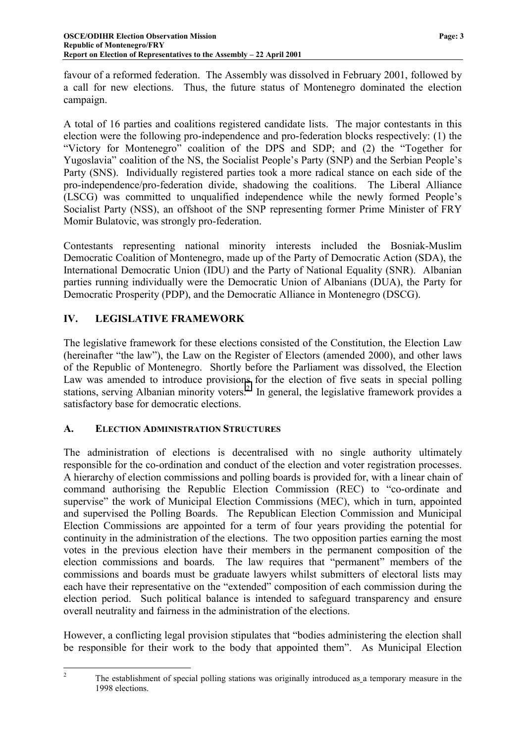<span id="page-4-0"></span>favour of a reformed federation. The Assembly was dissolved in February 2001, followed by a call for new elections. Thus, the future status of Montenegro dominated the election campaign.

A total of 16 parties and coalitions registered candidate lists. The major contestants in this election were the following pro-independence and pro-federation blocks respectively: (1) the "Victory for Montenegro" coalition of the DPS and SDP; and (2) the "Together for Yugoslavia" coalition of the NS, the Socialist People's Party (SNP) and the Serbian People's Party (SNS). Individually registered parties took a more radical stance on each side of the pro-independence/pro-federation divide, shadowing the coalitions. The Liberal Alliance (LSCG) was committed to unqualified independence while the newly formed People's Socialist Party (NSS), an offshoot of the SNP representing former Prime Minister of FRY Momir Bulatovic, was strongly pro-federation.

Contestants representing national minority interests included the Bosniak-Muslim Democratic Coalition of Montenegro, made up of the Party of Democratic Action (SDA), the International Democratic Union (IDU) and the Party of National Equality (SNR). Albanian parties running individually were the Democratic Union of Albanians (DUA), the Party for Democratic Prosperity (PDP), and the Democratic Alliance in Montenegro (DSCG).

# **IV. LEGISLATIVE FRAMEWORK**

The legislative framework for these elections consisted of the Constitution, the Election Law (hereinafter "the law"), the Law on the Register of Electors (amended 2000), and other laws of the Republic of Montenegro. Shortly before the Parliament was dissolved, the Election Law was amended to introduce provisions for the election of five seats in special polling stations, serving Albanian minority voters.<sup>2</sup> In general, the legislative framework provides a satisfactory base for democratic elections.

# **A. ELECTION ADMINISTRATION STRUCTURES**

 $\frac{1}{2}$ 

The administration of elections is decentralised with no single authority ultimately responsible for the co-ordination and conduct of the election and voter registration processes. A hierarchy of election commissions and polling boards is provided for, with a linear chain of command authorising the Republic Election Commission (REC) to "co-ordinate and supervise" the work of Municipal Election Commissions (MEC), which in turn, appointed and supervised the Polling Boards. The Republican Election Commission and Municipal Election Commissions are appointed for a term of four years providing the potential for continuity in the administration of the elections. The two opposition parties earning the most votes in the previous election have their members in the permanent composition of the election commissions and boards. The law requires that "permanent" members of the commissions and boards must be graduate lawyers whilst submitters of electoral lists may each have their representative on the "extended" composition of each commission during the election period. Such political balance is intended to safeguard transparency and ensure overall neutrality and fairness in the administration of the elections.

However, a conflicting legal provision stipulates that "bodies administering the election shall be responsible for their work to the body that appointed them". As Municipal Election

The establishment of special polling stations was originally introduced as a temporary measure in the 1998 elections.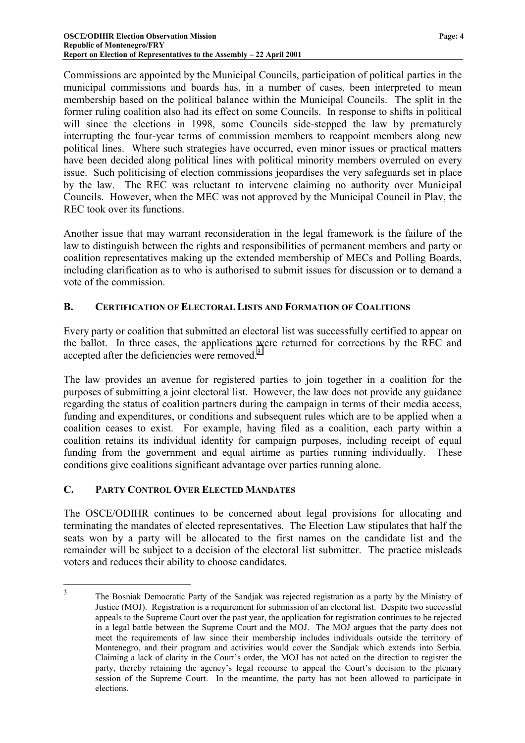<span id="page-5-0"></span>Commissions are appointed by the Municipal Councils, participation of political parties in the municipal commissions and boards has, in a number of cases, been interpreted to mean membership based on the political balance within the Municipal Councils. The split in the former ruling coalition also had its effect on some Councils. In response to shifts in political will since the elections in 1998, some Councils side-stepped the law by prematurely interrupting the four-year terms of commission members to reappoint members along new political lines. Where such strategies have occurred, even minor issues or practical matters have been decided along political lines with political minority members overruled on every issue. Such politicising of election commissions jeopardises the very safeguards set in place by the law. The REC was reluctant to intervene claiming no authority over Municipal Councils. However, when the MEC was not approved by the Municipal Council in Plav, the REC took over its functions.

Another issue that may warrant reconsideration in the legal framework is the failure of the law to distinguish between the rights and responsibilities of permanent members and party or coalition representatives making up the extended membership of MECs and Polling Boards, including clarification as to who is authorised to submit issues for discussion or to demand a vote of the commission.

# **B. CERTIFICATION OF ELECTORAL LISTS AND FORMATION OF COALITIONS**

Every party or coalition that submitted an electoral list was successfully certified to appear on the ballot. In three cases, the applications were returned for corrections by the REC and accepted after the deficiencies were removed.<sup>3</sup>

The law provides an avenue for registered parties to join together in a coalition for the purposes of submitting a joint electoral list. However, the law does not provide any guidance regarding the status of coalition partners during the campaign in terms of their media access, funding and expenditures, or conditions and subsequent rules which are to be applied when a coalition ceases to exist. For example, having filed as a coalition, each party within a coalition retains its individual identity for campaign purposes, including receipt of equal funding from the government and equal airtime as parties running individually. These conditions give coalitions significant advantage over parties running alone.

# **C. PARTY CONTROL OVER ELECTED MANDATES**

The OSCE/ODIHR continues to be concerned about legal provisions for allocating and terminating the mandates of elected representatives. The Election Law stipulates that half the seats won by a party will be allocated to the first names on the candidate list and the remainder will be subject to a decision of the electoral list submitter. The practice misleads voters and reduces their ability to choose candidates.

 $\overline{3}$ <sup>3</sup> The Bosniak Democratic Party of the Sandjak was rejected registration as a party by the Ministry of Justice (MOJ). Registration is a requirement for submission of an electoral list. Despite two successful appeals to the Supreme Court over the past year, the application for registration continues to be rejected in a legal battle between the Supreme Court and the MOJ. The MOJ argues that the party does not meet the requirements of law since their membership includes individuals outside the territory of Montenegro, and their program and activities would cover the Sandjak which extends into Serbia. Claiming a lack of clarity in the Court's order, the MOJ has not acted on the direction to register the party, thereby retaining the agency's legal recourse to appeal the Court's decision to the plenary session of the Supreme Court. In the meantime, the party has not been allowed to participate in elections.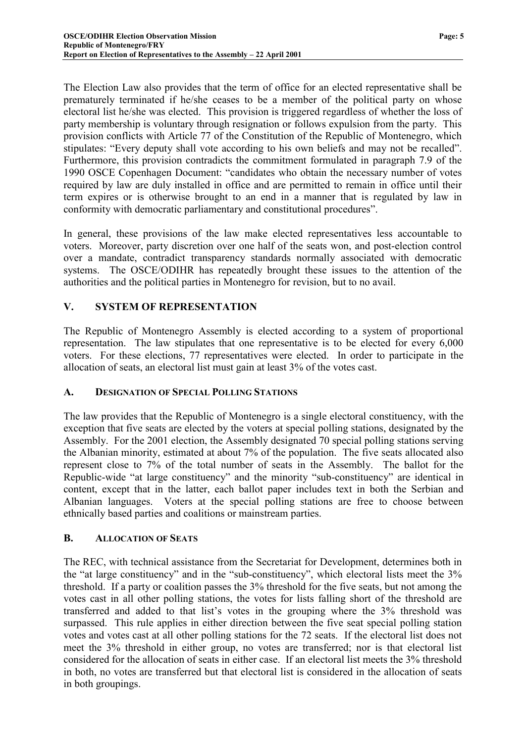<span id="page-6-0"></span>The Election Law also provides that the term of office for an elected representative shall be prematurely terminated if he/she ceases to be a member of the political party on whose electoral list he/she was elected. This provision is triggered regardless of whether the loss of party membership is voluntary through resignation or follows expulsion from the party. This provision conflicts with Article 77 of the Constitution of the Republic of Montenegro, which stipulates: "Every deputy shall vote according to his own beliefs and may not be recalled". Furthermore, this provision contradicts the commitment formulated in paragraph 7.9 of the 1990 OSCE Copenhagen Document: "candidates who obtain the necessary number of votes required by law are duly installed in office and are permitted to remain in office until their term expires or is otherwise brought to an end in a manner that is regulated by law in conformity with democratic parliamentary and constitutional procedures".

In general, these provisions of the law make elected representatives less accountable to voters. Moreover, party discretion over one half of the seats won, and post-election control over a mandate, contradict transparency standards normally associated with democratic systems. The OSCE/ODIHR has repeatedly brought these issues to the attention of the authorities and the political parties in Montenegro for revision, but to no avail.

# **V. SYSTEM OF REPRESENTATION**

The Republic of Montenegro Assembly is elected according to a system of proportional representation. The law stipulates that one representative is to be elected for every 6,000 voters. For these elections, 77 representatives were elected. In order to participate in the allocation of seats, an electoral list must gain at least 3% of the votes cast.

#### **A. DESIGNATION OF SPECIAL POLLING STATIONS**

The law provides that the Republic of Montenegro is a single electoral constituency, with the exception that five seats are elected by the voters at special polling stations, designated by the Assembly. For the 2001 election, the Assembly designated 70 special polling stations serving the Albanian minority, estimated at about 7% of the population. The five seats allocated also represent close to 7% of the total number of seats in the Assembly. The ballot for the Republic-wide "at large constituency" and the minority "sub-constituency" are identical in content, except that in the latter, each ballot paper includes text in both the Serbian and Albanian languages. Voters at the special polling stations are free to choose between ethnically based parties and coalitions or mainstream parties.

#### **B. ALLOCATION OF SEATS**

The REC, with technical assistance from the Secretariat for Development, determines both in the "at large constituency" and in the "sub-constituency", which electoral lists meet the 3% threshold. If a party or coalition passes the 3% threshold for the five seats, but not among the votes cast in all other polling stations, the votes for lists falling short of the threshold are transferred and added to that list's votes in the grouping where the 3% threshold was surpassed. This rule applies in either direction between the five seat special polling station votes and votes cast at all other polling stations for the 72 seats. If the electoral list does not meet the 3% threshold in either group, no votes are transferred; nor is that electoral list considered for the allocation of seats in either case. If an electoral list meets the 3% threshold in both, no votes are transferred but that electoral list is considered in the allocation of seats in both groupings.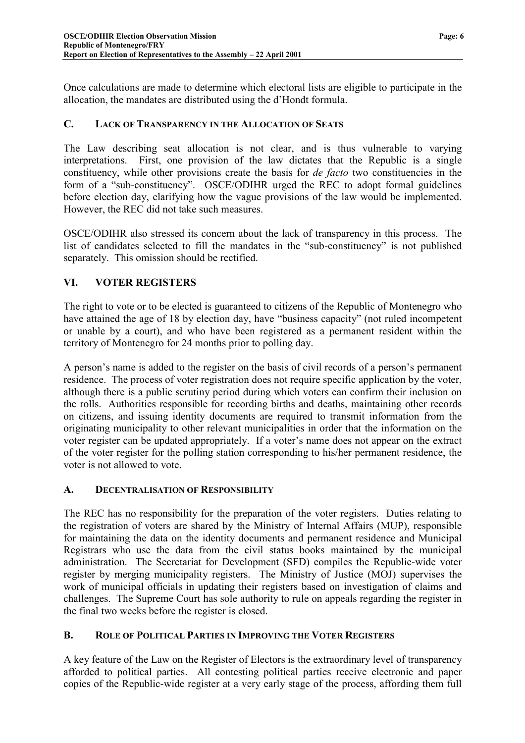<span id="page-7-0"></span>Once calculations are made to determine which electoral lists are eligible to participate in the allocation, the mandates are distributed using the d'Hondt formula.

# **C. LACK OF TRANSPARENCY IN THE ALLOCATION OF SEATS**

The Law describing seat allocation is not clear, and is thus vulnerable to varying interpretations. First, one provision of the law dictates that the Republic is a single constituency, while other provisions create the basis for *de facto* two constituencies in the form of a "sub-constituency". OSCE/ODIHR urged the REC to adopt formal guidelines before election day, clarifying how the vague provisions of the law would be implemented. However, the REC did not take such measures.

OSCE/ODIHR also stressed its concern about the lack of transparency in this process. The list of candidates selected to fill the mandates in the "sub-constituency" is not published separately. This omission should be rectified.

# **VI. VOTER REGISTERS**

The right to vote or to be elected is guaranteed to citizens of the Republic of Montenegro who have attained the age of 18 by election day, have "business capacity" (not ruled incompetent or unable by a court), and who have been registered as a permanent resident within the territory of Montenegro for 24 months prior to polling day.

A person's name is added to the register on the basis of civil records of a person's permanent residence. The process of voter registration does not require specific application by the voter, although there is a public scrutiny period during which voters can confirm their inclusion on the rolls. Authorities responsible for recording births and deaths, maintaining other records on citizens, and issuing identity documents are required to transmit information from the originating municipality to other relevant municipalities in order that the information on the voter register can be updated appropriately. If a voter's name does not appear on the extract of the voter register for the polling station corresponding to his/her permanent residence, the voter is not allowed to vote.

# **A. DECENTRALISATION OF RESPONSIBILITY**

The REC has no responsibility for the preparation of the voter registers. Duties relating to the registration of voters are shared by the Ministry of Internal Affairs (MUP), responsible for maintaining the data on the identity documents and permanent residence and Municipal Registrars who use the data from the civil status books maintained by the municipal administration. The Secretariat for Development (SFD) compiles the Republic-wide voter register by merging municipality registers. The Ministry of Justice (MOJ) supervises the work of municipal officials in updating their registers based on investigation of claims and challenges. The Supreme Court has sole authority to rule on appeals regarding the register in the final two weeks before the register is closed.

# **B. ROLE OF POLITICAL PARTIES IN IMPROVING THE VOTER REGISTERS**

A key feature of the Law on the Register of Electors is the extraordinary level of transparency afforded to political parties. All contesting political parties receive electronic and paper copies of the Republic-wide register at a very early stage of the process, affording them full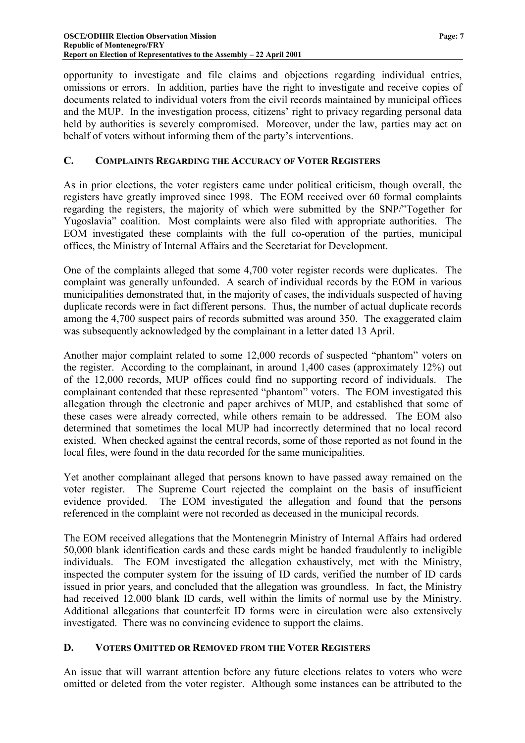<span id="page-8-0"></span>opportunity to investigate and file claims and objections regarding individual entries, omissions or errors. In addition, parties have the right to investigate and receive copies of documents related to individual voters from the civil records maintained by municipal offices and the MUP. In the investigation process, citizens' right to privacy regarding personal data held by authorities is severely compromised. Moreover, under the law, parties may act on behalf of voters without informing them of the party's interventions.

#### **C. COMPLAINTS REGARDING THE ACCURACY OF VOTER REGISTERS**

As in prior elections, the voter registers came under political criticism, though overall, the registers have greatly improved since 1998. The EOM received over 60 formal complaints regarding the registers, the majority of which were submitted by the SNP/"Together for Yugoslavia" coalition. Most complaints were also filed with appropriate authorities. The EOM investigated these complaints with the full co-operation of the parties, municipal offices, the Ministry of Internal Affairs and the Secretariat for Development.

One of the complaints alleged that some 4,700 voter register records were duplicates. The complaint was generally unfounded. A search of individual records by the EOM in various municipalities demonstrated that, in the majority of cases, the individuals suspected of having duplicate records were in fact different persons. Thus, the number of actual duplicate records among the 4,700 suspect pairs of records submitted was around 350. The exaggerated claim was subsequently acknowledged by the complainant in a letter dated 13 April.

Another major complaint related to some 12,000 records of suspected "phantom" voters on the register. According to the complainant, in around 1,400 cases (approximately 12%) out of the 12,000 records, MUP offices could find no supporting record of individuals. The complainant contended that these represented "phantom" voters. The EOM investigated this allegation through the electronic and paper archives of MUP, and established that some of these cases were already corrected, while others remain to be addressed. The EOM also determined that sometimes the local MUP had incorrectly determined that no local record existed. When checked against the central records, some of those reported as not found in the local files, were found in the data recorded for the same municipalities.

Yet another complainant alleged that persons known to have passed away remained on the voter register. The Supreme Court rejected the complaint on the basis of insufficient evidence provided. The EOM investigated the allegation and found that the persons referenced in the complaint were not recorded as deceased in the municipal records.

The EOM received allegations that the Montenegrin Ministry of Internal Affairs had ordered 50,000 blank identification cards and these cards might be handed fraudulently to ineligible individuals. The EOM investigated the allegation exhaustively, met with the Ministry, inspected the computer system for the issuing of ID cards, verified the number of ID cards issued in prior years, and concluded that the allegation was groundless. In fact, the Ministry had received 12,000 blank ID cards, well within the limits of normal use by the Ministry. Additional allegations that counterfeit ID forms were in circulation were also extensively investigated. There was no convincing evidence to support the claims.

# **D. VOTERS OMITTED OR REMOVED FROM THE VOTER REGISTERS**

An issue that will warrant attention before any future elections relates to voters who were omitted or deleted from the voter register. Although some instances can be attributed to the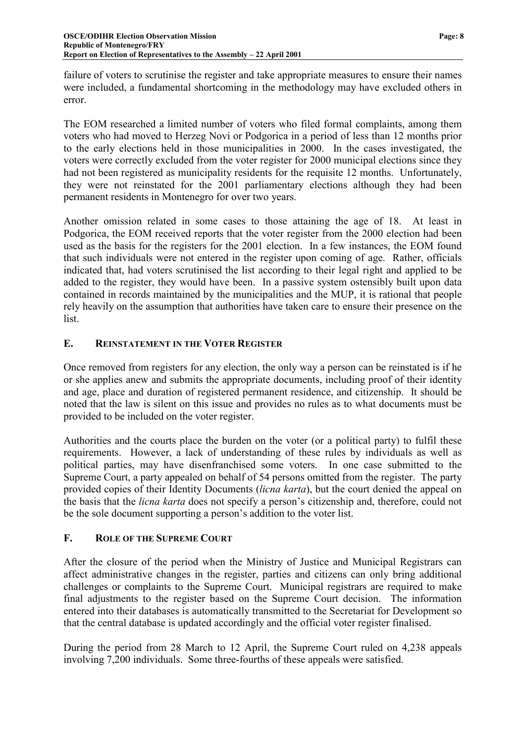<span id="page-9-0"></span>failure of voters to scrutinise the register and take appropriate measures to ensure their names were included, a fundamental shortcoming in the methodology may have excluded others in error.

The EOM researched a limited number of voters who filed formal complaints, among them voters who had moved to Herzeg Novi or Podgorica in a period of less than 12 months prior to the early elections held in those municipalities in 2000. In the cases investigated, the voters were correctly excluded from the voter register for 2000 municipal elections since they had not been registered as municipality residents for the requisite 12 months. Unfortunately, they were not reinstated for the 2001 parliamentary elections although they had been permanent residents in Montenegro for over two years.

Another omission related in some cases to those attaining the age of 18. At least in Podgorica, the EOM received reports that the voter register from the 2000 election had been used as the basis for the registers for the 2001 election. In a few instances, the EOM found that such individuals were not entered in the register upon coming of age. Rather, officials indicated that, had voters scrutinised the list according to their legal right and applied to be added to the register, they would have been. In a passive system ostensibly built upon data contained in records maintained by the municipalities and the MUP, it is rational that people rely heavily on the assumption that authorities have taken care to ensure their presence on the list.

#### **E. REINSTATEMENT IN THE VOTER REGISTER**

Once removed from registers for any election, the only way a person can be reinstated is if he or she applies anew and submits the appropriate documents, including proof of their identity and age, place and duration of registered permanent residence, and citizenship. It should be noted that the law is silent on this issue and provides no rules as to what documents must be provided to be included on the voter register.

Authorities and the courts place the burden on the voter (or a political party) to fulfil these requirements. However, a lack of understanding of these rules by individuals as well as political parties, may have disenfranchised some voters. In one case submitted to the Supreme Court, a party appealed on behalf of 54 persons omitted from the register. The party provided copies of their Identity Documents (*licna karta*), but the court denied the appeal on the basis that the *licna karta* does not specify a person's citizenship and, therefore, could not be the sole document supporting a person's addition to the voter list.

#### **F. ROLE OF THE SUPREME COURT**

After the closure of the period when the Ministry of Justice and Municipal Registrars can affect administrative changes in the register, parties and citizens can only bring additional challenges or complaints to the Supreme Court. Municipal registrars are required to make final adjustments to the register based on the Supreme Court decision. The information entered into their databases is automatically transmitted to the Secretariat for Development so that the central database is updated accordingly and the official voter register finalised.

During the period from 28 March to 12 April, the Supreme Court ruled on 4,238 appeals involving 7,200 individuals. Some three-fourths of these appeals were satisfied.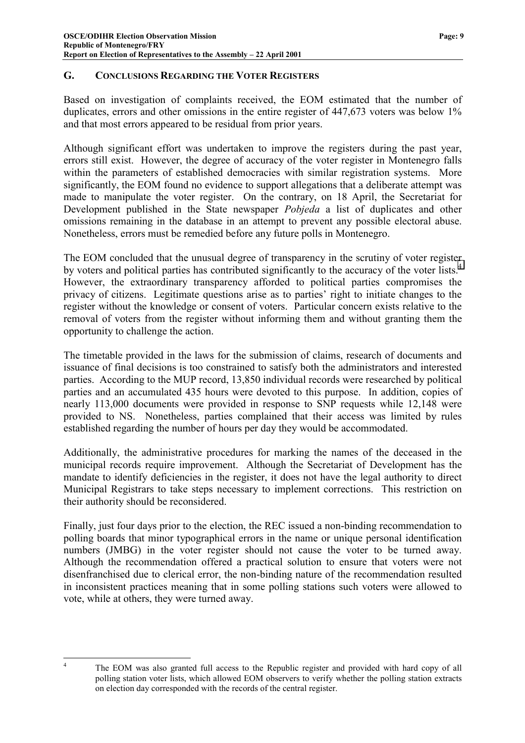#### <span id="page-10-0"></span>**G. CONCLUSIONS REGARDING THE VOTER REGISTERS**

Based on investigation of complaints received, the EOM estimated that the number of duplicates, errors and other omissions in the entire register of 447,673 voters was below 1% and that most errors appeared to be residual from prior years.

Although significant effort was undertaken to improve the registers during the past year, errors still exist. However, the degree of accuracy of the voter register in Montenegro falls within the parameters of established democracies with similar registration systems. More significantly, the EOM found no evidence to support allegations that a deliberate attempt was made to manipulate the voter register. On the contrary, on 18 April, the Secretariat for Development published in the State newspaper *Pobjeda* a list of duplicates and other omissions remaining in the database in an attempt to prevent any possible electoral abuse. Nonetheless, errors must be remedied before any future polls in Montenegro.

The EOM concluded that the unusual degree of transparency in the scrutiny of voter register by voters and political parties has contributed significantly to the accuracy of the voter lists.<sup>4</sup> However, the extraordinary transparency afforded to political parties compromises the privacy of citizens. Legitimate questions arise as to parties' right to initiate changes to the register without the knowledge or consent of voters. Particular concern exists relative to the removal of voters from the register without informing them and without granting them the opportunity to challenge the action.

The timetable provided in the laws for the submission of claims, research of documents and issuance of final decisions is too constrained to satisfy both the administrators and interested parties. According to the MUP record, 13,850 individual records were researched by political parties and an accumulated 435 hours were devoted to this purpose. In addition, copies of nearly 113,000 documents were provided in response to SNP requests while 12,148 were provided to NS. Nonetheless, parties complained that their access was limited by rules established regarding the number of hours per day they would be accommodated.

Additionally, the administrative procedures for marking the names of the deceased in the municipal records require improvement. Although the Secretariat of Development has the mandate to identify deficiencies in the register, it does not have the legal authority to direct Municipal Registrars to take steps necessary to implement corrections. This restriction on their authority should be reconsidered.

Finally, just four days prior to the election, the REC issued a non-binding recommendation to polling boards that minor typographical errors in the name or unique personal identification numbers (JMBG) in the voter register should not cause the voter to be turned away. Although the recommendation offered a practical solution to ensure that voters were not disenfranchised due to clerical error, the non-binding nature of the recommendation resulted in inconsistent practices meaning that in some polling stations such voters were allowed to vote, while at others, they were turned away.

 $\frac{1}{4}$ 

The EOM was also granted full access to the Republic register and provided with hard copy of all polling station voter lists, which allowed EOM observers to verify whether the polling station extracts on election day corresponded with the records of the central register.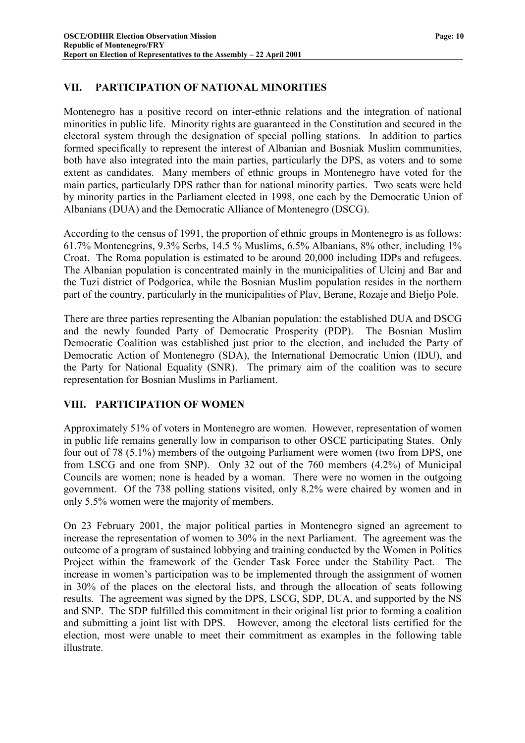# <span id="page-11-0"></span>**VII. PARTICIPATION OF NATIONAL MINORITIES**

Montenegro has a positive record on inter-ethnic relations and the integration of national minorities in public life. Minority rights are guaranteed in the Constitution and secured in the electoral system through the designation of special polling stations. In addition to parties formed specifically to represent the interest of Albanian and Bosniak Muslim communities, both have also integrated into the main parties, particularly the DPS, as voters and to some extent as candidates. Many members of ethnic groups in Montenegro have voted for the main parties, particularly DPS rather than for national minority parties. Two seats were held by minority parties in the Parliament elected in 1998, one each by the Democratic Union of Albanians (DUA) and the Democratic Alliance of Montenegro (DSCG).

According to the census of 1991, the proportion of ethnic groups in Montenegro is as follows: 61.7% Montenegrins, 9.3% Serbs, 14.5 % Muslims, 6.5% Albanians, 8% other, including 1% Croat. The Roma population is estimated to be around 20,000 including IDPs and refugees. The Albanian population is concentrated mainly in the municipalities of Ulcinj and Bar and the Tuzi district of Podgorica, while the Bosnian Muslim population resides in the northern part of the country, particularly in the municipalities of Plav, Berane, Rozaje and Bieljo Pole.

There are three parties representing the Albanian population: the established DUA and DSCG and the newly founded Party of Democratic Prosperity (PDP). The Bosnian Muslim Democratic Coalition was established just prior to the election, and included the Party of Democratic Action of Montenegro (SDA), the International Democratic Union (IDU), and the Party for National Equality (SNR). The primary aim of the coalition was to secure representation for Bosnian Muslims in Parliament.

# **VIII. PARTICIPATION OF WOMEN**

Approximately 51% of voters in Montenegro are women. However, representation of women in public life remains generally low in comparison to other OSCE participating States. Only four out of 78 (5.1%) members of the outgoing Parliament were women (two from DPS, one from LSCG and one from SNP). Only 32 out of the 760 members (4.2%) of Municipal Councils are women; none is headed by a woman. There were no women in the outgoing government. Of the 738 polling stations visited, only 8.2% were chaired by women and in only 5.5% women were the majority of members.

On 23 February 2001, the major political parties in Montenegro signed an agreement to increase the representation of women to 30% in the next Parliament. The agreement was the outcome of a program of sustained lobbying and training conducted by the Women in Politics Project within the framework of the Gender Task Force under the Stability Pact. The increase in women's participation was to be implemented through the assignment of women in 30% of the places on the electoral lists, and through the allocation of seats following results. The agreement was signed by the DPS, LSCG, SDP, DUA, and supported by the NS and SNP. The SDP fulfilled this commitment in their original list prior to forming a coalition and submitting a joint list with DPS. However, among the electoral lists certified for the election, most were unable to meet their commitment as examples in the following table illustrate.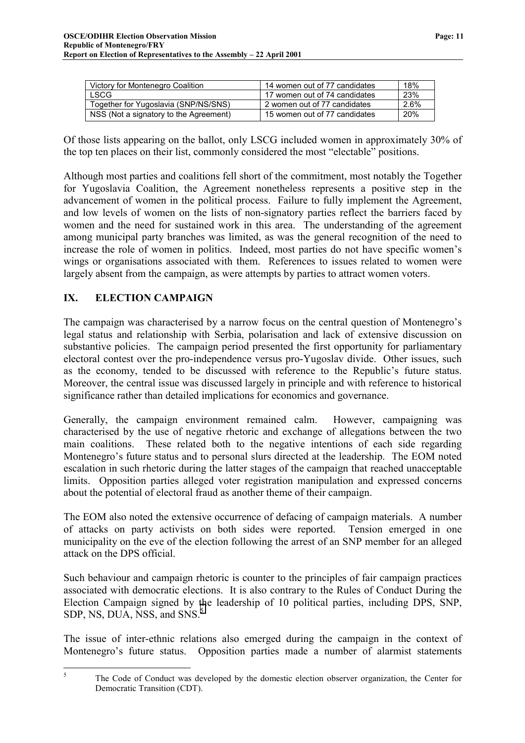<span id="page-12-0"></span>

| Victory for Montenegro Coalition       | 14 women out of 77 candidates | 18%  |
|----------------------------------------|-------------------------------|------|
| <b>LSCG</b>                            | 17 women out of 74 candidates | 23%  |
| Together for Yugoslavia (SNP/NS/SNS)   | 2 women out of 77 candidates  | 2.6% |
| NSS (Not a signatory to the Agreement) | 15 women out of 77 candidates | 20%  |

Of those lists appearing on the ballot, only LSCG included women in approximately 30% of the top ten places on their list, commonly considered the most "electable" positions.

Although most parties and coalitions fell short of the commitment, most notably the Together for Yugoslavia Coalition, the Agreement nonetheless represents a positive step in the advancement of women in the political process. Failure to fully implement the Agreement, and low levels of women on the lists of non-signatory parties reflect the barriers faced by women and the need for sustained work in this area. The understanding of the agreement among municipal party branches was limited, as was the general recognition of the need to increase the role of women in politics. Indeed, most parties do not have specific women's wings or organisations associated with them. References to issues related to women were largely absent from the campaign, as were attempts by parties to attract women voters.

# **IX. ELECTION CAMPAIGN**

The campaign was characterised by a narrow focus on the central question of Montenegro's legal status and relationship with Serbia, polarisation and lack of extensive discussion on substantive policies. The campaign period presented the first opportunity for parliamentary electoral contest over the pro-independence versus pro-Yugoslav divide. Other issues, such as the economy, tended to be discussed with reference to the Republic's future status. Moreover, the central issue was discussed largely in principle and with reference to historical significance rather than detailed implications for economics and governance.

Generally, the campaign environment remained calm. However, campaigning was characterised by the use of negative rhetoric and exchange of allegations between the two main coalitions. These related both to the negative intentions of each side regarding Montenegro's future status and to personal slurs directed at the leadership. The EOM noted escalation in such rhetoric during the latter stages of the campaign that reached unacceptable limits. Opposition parties alleged voter registration manipulation and expressed concerns about the potential of electoral fraud as another theme of their campaign.

The EOM also noted the extensive occurrence of defacing of campaign materials. A number of attacks on party activists on both sides were reported. Tension emerged in one municipality on the eve of the election following the arrest of an SNP member for an alleged attack on the DPS official.

Such behaviour and campaign rhetoric is counter to the principles of fair campaign practices associated with democratic elections. It is also contrary to the Rules of Conduct During the Election Campaign signed by the leadership of 10 political parties, including DPS, SNP, SDP, NS, DUA, NSS, and SNS.<sup>5</sup>

The issue of inter-ethnic relations also emerged during the campaign in the context of Montenegro's future status. Opposition parties made a number of alarmist statements

 $\frac{1}{5}$  The Code of Conduct was developed by the domestic election observer organization, the Center for Democratic Transition (CDT).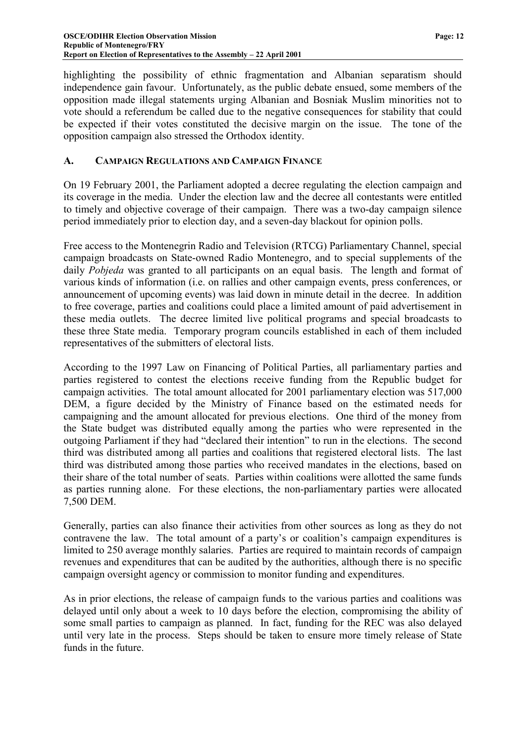<span id="page-13-0"></span>highlighting the possibility of ethnic fragmentation and Albanian separatism should independence gain favour. Unfortunately, as the public debate ensued, some members of the opposition made illegal statements urging Albanian and Bosniak Muslim minorities not to vote should a referendum be called due to the negative consequences for stability that could be expected if their votes constituted the decisive margin on the issue. The tone of the opposition campaign also stressed the Orthodox identity.

#### **A. CAMPAIGN REGULATIONS AND CAMPAIGN FINANCE**

On 19 February 2001, the Parliament adopted a decree regulating the election campaign and its coverage in the media. Under the election law and the decree all contestants were entitled to timely and objective coverage of their campaign. There was a two-day campaign silence period immediately prior to election day, and a seven-day blackout for opinion polls.

Free access to the Montenegrin Radio and Television (RTCG) Parliamentary Channel, special campaign broadcasts on State-owned Radio Montenegro, and to special supplements of the daily *Pobjeda* was granted to all participants on an equal basis. The length and format of various kinds of information (i.e. on rallies and other campaign events, press conferences, or announcement of upcoming events) was laid down in minute detail in the decree. In addition to free coverage, parties and coalitions could place a limited amount of paid advertisement in these media outlets. The decree limited live political programs and special broadcasts to these three State media. Temporary program councils established in each of them included representatives of the submitters of electoral lists.

According to the 1997 Law on Financing of Political Parties, all parliamentary parties and parties registered to contest the elections receive funding from the Republic budget for campaign activities. The total amount allocated for 2001 parliamentary election was 517,000 DEM, a figure decided by the Ministry of Finance based on the estimated needs for campaigning and the amount allocated for previous elections. One third of the money from the State budget was distributed equally among the parties who were represented in the outgoing Parliament if they had "declared their intention" to run in the elections. The second third was distributed among all parties and coalitions that registered electoral lists. The last third was distributed among those parties who received mandates in the elections, based on their share of the total number of seats. Parties within coalitions were allotted the same funds as parties running alone. For these elections, the non-parliamentary parties were allocated 7,500 DEM.

Generally, parties can also finance their activities from other sources as long as they do not contravene the law. The total amount of a party's or coalition's campaign expenditures is limited to 250 average monthly salaries. Parties are required to maintain records of campaign revenues and expenditures that can be audited by the authorities, although there is no specific campaign oversight agency or commission to monitor funding and expenditures.

As in prior elections, the release of campaign funds to the various parties and coalitions was delayed until only about a week to 10 days before the election, compromising the ability of some small parties to campaign as planned. In fact, funding for the REC was also delayed until very late in the process. Steps should be taken to ensure more timely release of State funds in the future.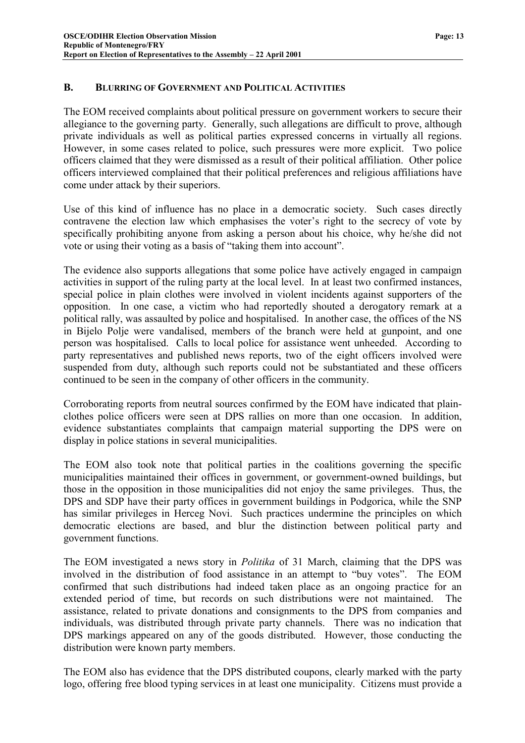#### <span id="page-14-0"></span>**B. BLURRING OF GOVERNMENT AND POLITICAL ACTIVITIES**

The EOM received complaints about political pressure on government workers to secure their allegiance to the governing party. Generally, such allegations are difficult to prove, although private individuals as well as political parties expressed concerns in virtually all regions. However, in some cases related to police, such pressures were more explicit. Two police officers claimed that they were dismissed as a result of their political affiliation. Other police officers interviewed complained that their political preferences and religious affiliations have come under attack by their superiors.

Use of this kind of influence has no place in a democratic society. Such cases directly contravene the election law which emphasises the voter's right to the secrecy of vote by specifically prohibiting anyone from asking a person about his choice, why he/she did not vote or using their voting as a basis of "taking them into account".

The evidence also supports allegations that some police have actively engaged in campaign activities in support of the ruling party at the local level. In at least two confirmed instances, special police in plain clothes were involved in violent incidents against supporters of the opposition. In one case, a victim who had reportedly shouted a derogatory remark at a political rally, was assaulted by police and hospitalised. In another case, the offices of the NS in Bijelo Polje were vandalised, members of the branch were held at gunpoint, and one person was hospitalised. Calls to local police for assistance went unheeded. According to party representatives and published news reports, two of the eight officers involved were suspended from duty, although such reports could not be substantiated and these officers continued to be seen in the company of other officers in the community.

Corroborating reports from neutral sources confirmed by the EOM have indicated that plainclothes police officers were seen at DPS rallies on more than one occasion. In addition, evidence substantiates complaints that campaign material supporting the DPS were on display in police stations in several municipalities.

The EOM also took note that political parties in the coalitions governing the specific municipalities maintained their offices in government, or government-owned buildings, but those in the opposition in those municipalities did not enjoy the same privileges. Thus, the DPS and SDP have their party offices in government buildings in Podgorica, while the SNP has similar privileges in Herceg Novi. Such practices undermine the principles on which democratic elections are based, and blur the distinction between political party and government functions.

The EOM investigated a news story in *Politika* of 31 March, claiming that the DPS was involved in the distribution of food assistance in an attempt to "buy votes". The EOM confirmed that such distributions had indeed taken place as an ongoing practice for an extended period of time, but records on such distributions were not maintained. The assistance, related to private donations and consignments to the DPS from companies and individuals, was distributed through private party channels. There was no indication that DPS markings appeared on any of the goods distributed. However, those conducting the distribution were known party members.

The EOM also has evidence that the DPS distributed coupons, clearly marked with the party logo, offering free blood typing services in at least one municipality. Citizens must provide a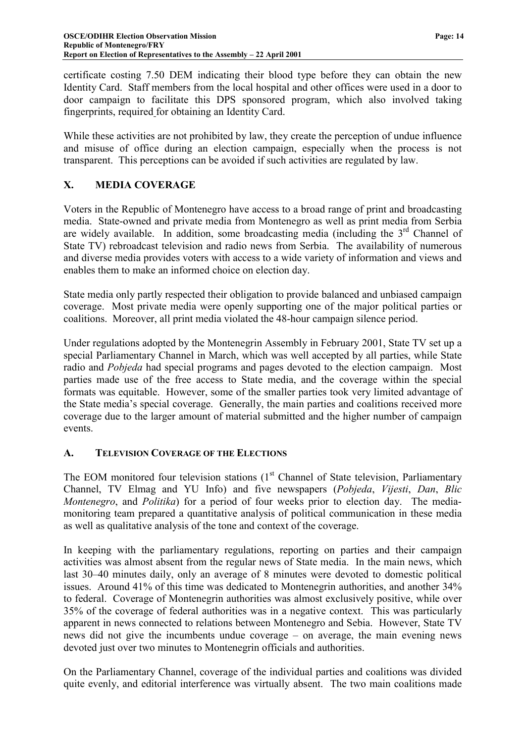<span id="page-15-0"></span>certificate costing 7.50 DEM indicating their blood type before they can obtain the new Identity Card. Staff members from the local hospital and other offices were used in a door to door campaign to facilitate this DPS sponsored program, which also involved taking fingerprints, required for obtaining an Identity Card.

While these activities are not prohibited by law, they create the perception of undue influence and misuse of office during an election campaign, especially when the process is not transparent. This perceptions can be avoided if such activities are regulated by law.

# **X. MEDIA COVERAGE**

Voters in the Republic of Montenegro have access to a broad range of print and broadcasting media. State-owned and private media from Montenegro as well as print media from Serbia are widely available. In addition, some broadcasting media (including the 3<sup>rd</sup> Channel of State TV) rebroadcast television and radio news from Serbia. The availability of numerous and diverse media provides voters with access to a wide variety of information and views and enables them to make an informed choice on election day.

State media only partly respected their obligation to provide balanced and unbiased campaign coverage. Most private media were openly supporting one of the major political parties or coalitions. Moreover, all print media violated the 48-hour campaign silence period.

Under regulations adopted by the Montenegrin Assembly in February 2001, State TV set up a special Parliamentary Channel in March, which was well accepted by all parties, while State radio and *Pobjeda* had special programs and pages devoted to the election campaign. Most parties made use of the free access to State media, and the coverage within the special formats was equitable. However, some of the smaller parties took very limited advantage of the State media's special coverage. Generally, the main parties and coalitions received more coverage due to the larger amount of material submitted and the higher number of campaign events.

# **A. TELEVISION COVERAGE OF THE ELECTIONS**

The EOM monitored four television stations  $(1<sup>st</sup>$  Channel of State television, Parliamentary Channel, TV Elmag and YU Info) and five newspapers (*Pobjeda*, *Vijesti*, *Dan*, *Blic Montenegro*, and *Politika*) for a period of four weeks prior to election day. The mediamonitoring team prepared a quantitative analysis of political communication in these media as well as qualitative analysis of the tone and context of the coverage.

In keeping with the parliamentary regulations, reporting on parties and their campaign activities was almost absent from the regular news of State media. In the main news, which last 30–40 minutes daily, only an average of 8 minutes were devoted to domestic political issues. Around 41% of this time was dedicated to Montenegrin authorities, and another 34% to federal. Coverage of Montenegrin authorities was almost exclusively positive, while over 35% of the coverage of federal authorities was in a negative context. This was particularly apparent in news connected to relations between Montenegro and Sebia. However, State TV news did not give the incumbents undue coverage – on average, the main evening news devoted just over two minutes to Montenegrin officials and authorities.

On the Parliamentary Channel, coverage of the individual parties and coalitions was divided quite evenly, and editorial interference was virtually absent. The two main coalitions made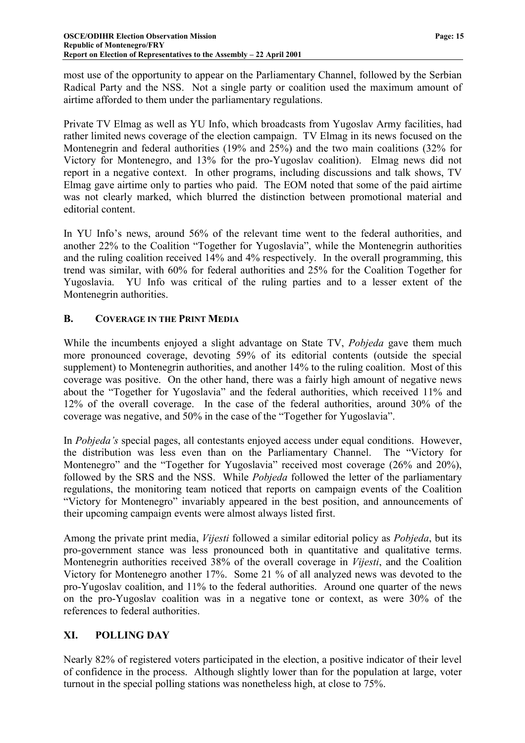<span id="page-16-0"></span>most use of the opportunity to appear on the Parliamentary Channel, followed by the Serbian Radical Party and the NSS. Not a single party or coalition used the maximum amount of airtime afforded to them under the parliamentary regulations.

Private TV Elmag as well as YU Info, which broadcasts from Yugoslav Army facilities, had rather limited news coverage of the election campaign. TV Elmag in its news focused on the Montenegrin and federal authorities (19% and 25%) and the two main coalitions (32% for Victory for Montenegro, and 13% for the pro-Yugoslav coalition). Elmag news did not report in a negative context. In other programs, including discussions and talk shows, TV Elmag gave airtime only to parties who paid. The EOM noted that some of the paid airtime was not clearly marked, which blurred the distinction between promotional material and editorial content.

In YU Info's news, around 56% of the relevant time went to the federal authorities, and another 22% to the Coalition "Together for Yugoslavia", while the Montenegrin authorities and the ruling coalition received 14% and 4% respectively. In the overall programming, this trend was similar, with 60% for federal authorities and 25% for the Coalition Together for Yugoslavia. YU Info was critical of the ruling parties and to a lesser extent of the Montenegrin authorities.

#### **B. COVERAGE IN THE PRINT MEDIA**

While the incumbents enjoyed a slight advantage on State TV, *Pobjeda* gave them much more pronounced coverage, devoting 59% of its editorial contents (outside the special supplement) to Montenegrin authorities, and another 14% to the ruling coalition. Most of this coverage was positive. On the other hand, there was a fairly high amount of negative news about the "Together for Yugoslavia" and the federal authorities, which received 11% and 12% of the overall coverage. In the case of the federal authorities, around 30% of the coverage was negative, and 50% in the case of the "Together for Yugoslavia".

In *Pobjeda's* special pages, all contestants enjoyed access under equal conditions. However, the distribution was less even than on the Parliamentary Channel. The "Victory for Montenegro" and the "Together for Yugoslavia" received most coverage (26% and 20%), followed by the SRS and the NSS. While *Pobjeda* followed the letter of the parliamentary regulations, the monitoring team noticed that reports on campaign events of the Coalition "Victory for Montenegro" invariably appeared in the best position, and announcements of their upcoming campaign events were almost always listed first.

Among the private print media, *Vijesti* followed a similar editorial policy as *Pobjeda*, but its pro-government stance was less pronounced both in quantitative and qualitative terms. Montenegrin authorities received 38% of the overall coverage in *Vijesti*, and the Coalition Victory for Montenegro another 17%. Some 21 % of all analyzed news was devoted to the pro-Yugoslav coalition, and 11% to the federal authorities. Around one quarter of the news on the pro-Yugoslav coalition was in a negative tone or context, as were 30% of the references to federal authorities.

# **XI. POLLING DAY**

Nearly 82% of registered voters participated in the election, a positive indicator of their level of confidence in the process. Although slightly lower than for the population at large, voter turnout in the special polling stations was nonetheless high, at close to 75%.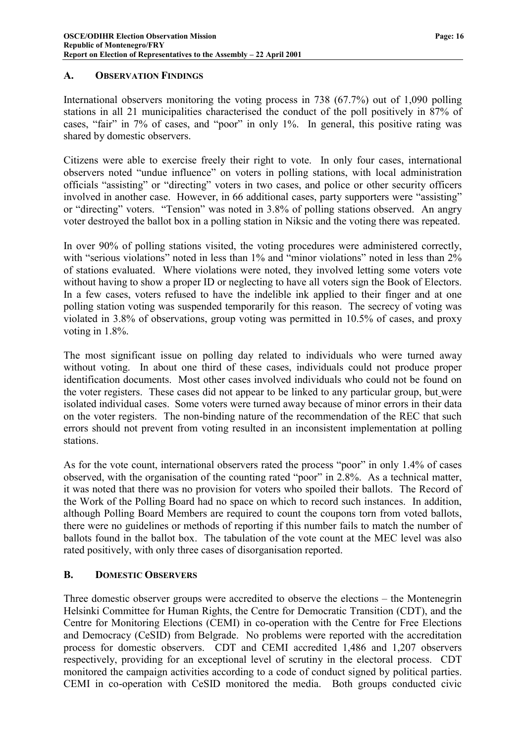#### <span id="page-17-0"></span>**A. OBSERVATION FINDINGS**

International observers monitoring the voting process in 738 (67.7%) out of 1,090 polling stations in all 21 municipalities characterised the conduct of the poll positively in 87% of cases, "fair" in 7% of cases, and "poor" in only 1%. In general, this positive rating was shared by domestic observers.

Citizens were able to exercise freely their right to vote. In only four cases, international observers noted "undue influence" on voters in polling stations, with local administration officials "assisting" or "directing" voters in two cases, and police or other security officers involved in another case. However, in 66 additional cases, party supporters were "assisting" or "directing" voters. "Tension" was noted in 3.8% of polling stations observed. An angry voter destroyed the ballot box in a polling station in Niksic and the voting there was repeated.

In over 90% of polling stations visited, the voting procedures were administered correctly, with "serious violations" noted in less than 1% and "minor violations" noted in less than 2% of stations evaluated. Where violations were noted, they involved letting some voters vote without having to show a proper ID or neglecting to have all voters sign the Book of Electors. In a few cases, voters refused to have the indelible ink applied to their finger and at one polling station voting was suspended temporarily for this reason. The secrecy of voting was violated in 3.8% of observations, group voting was permitted in 10.5% of cases, and proxy voting in 1.8%.

The most significant issue on polling day related to individuals who were turned away without voting. In about one third of these cases, individuals could not produce proper identification documents. Most other cases involved individuals who could not be found on the voter registers. These cases did not appear to be linked to any particular group, but were isolated individual cases. Some voters were turned away because of minor errors in their data on the voter registers. The non-binding nature of the recommendation of the REC that such errors should not prevent from voting resulted in an inconsistent implementation at polling stations.

As for the vote count, international observers rated the process "poor" in only 1.4% of cases observed, with the organisation of the counting rated "poor" in 2.8%. As a technical matter, it was noted that there was no provision for voters who spoiled their ballots. The Record of the Work of the Polling Board had no space on which to record such instances. In addition, although Polling Board Members are required to count the coupons torn from voted ballots, there were no guidelines or methods of reporting if this number fails to match the number of ballots found in the ballot box. The tabulation of the vote count at the MEC level was also rated positively, with only three cases of disorganisation reported.

# **B. DOMESTIC OBSERVERS**

Three domestic observer groups were accredited to observe the elections – the Montenegrin Helsinki Committee for Human Rights, the Centre for Democratic Transition (CDT), and the Centre for Monitoring Elections (CEMI) in co-operation with the Centre for Free Elections and Democracy (CeSID) from Belgrade. No problems were reported with the accreditation process for domestic observers. CDT and CEMI accredited 1,486 and 1,207 observers respectively, providing for an exceptional level of scrutiny in the electoral process. CDT monitored the campaign activities according to a code of conduct signed by political parties. CEMI in co-operation with CeSID monitored the media. Both groups conducted civic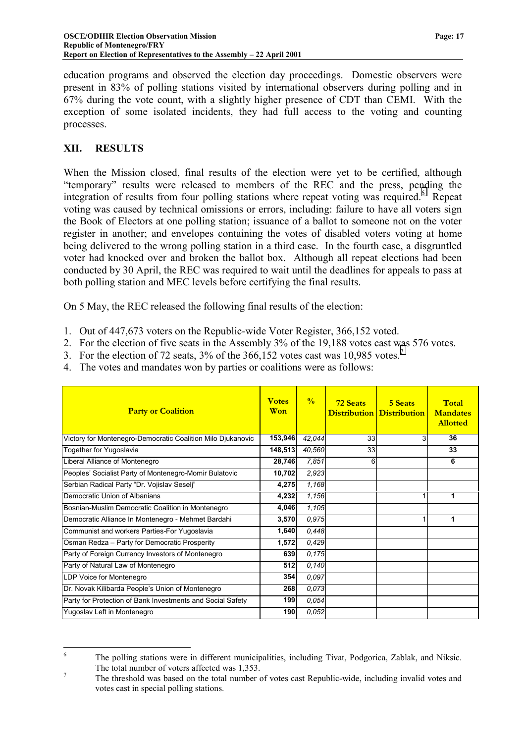<span id="page-18-0"></span>education programs and observed the election day proceedings. Domestic observers were present in 83% of polling stations visited by international observers during polling and in 67% during the vote count, with a slightly higher presence of CDT than CEMI. With the exception of some isolated incidents, they had full access to the voting and counting processes.

#### **XII. RESULTS**

When the Mission closed, final results of the election were yet to be certified, although "temporary" results were released to members of the REC and the press, pending the integration of results from four polling stations where repeat voting was required.<sup>6</sup> Repeat voting was caused by technical omissions or errors, including: failure to have all voters sign the Book of Electors at one polling station; issuance of a ballot to someone not on the voter register in another; and envelopes containing the votes of disabled voters voting at home being delivered to the wrong polling station in a third case. In the fourth case, a disgruntled voter had knocked over and broken the ballot box. Although all repeat elections had been conducted by 30 April, the REC was required to wait until the deadlines for appeals to pass at both polling station and MEC levels before certifying the final results.

On 5 May, the REC released the following final results of the election:

- 1. Out of 447,673 voters on the Republic-wide Voter Register, 366,152 voted.
- 2. For the election of five seats in the Assembly 3% of the 19,188 votes cast was 576 votes.
- 3. For the election of 72 seats, 3% of the 366,152 votes cast was 10,985 votes.7
- 4. The votes and mandates won by parties or coalitions were as follows:

| <b>Party or Coalition</b>                                   | <b>Votes</b><br>Won | $\frac{0}{0}$ | <b>72 Seats</b> | 5 Seats<br><b>Distribution</b> Distribution | Total<br><b>Mandates</b><br><b>Allotted</b> |
|-------------------------------------------------------------|---------------------|---------------|-----------------|---------------------------------------------|---------------------------------------------|
| Victory for Montenegro-Democratic Coalition Milo Djukanovic | 153,946             | 42,044        | 33              | 3                                           | 36                                          |
| Together for Yugoslavia                                     | 148,513             | 40,560        | 33              |                                             | 33                                          |
| Liberal Alliance of Montenegro                              | 28,746              | 7,851         | 6               |                                             | 6                                           |
| Peoples' Socialist Party of Montenegro-Momir Bulatovic      | 10,702              | 2,923         |                 |                                             |                                             |
| Serbian Radical Party "Dr. Vojislav Seselj"                 | 4,275               | 1,168         |                 |                                             |                                             |
| Democratic Union of Albanians                               | 4,232               | 1,156         |                 |                                             | 1                                           |
| Bosnian-Muslim Democratic Coalition in Montenegro           | 4,046               | 1,105         |                 |                                             |                                             |
| Democratic Alliance In Montenegro - Mehmet Bardahi          | 3,570               | 0.975         |                 |                                             | 1                                           |
| Communist and workers Parties-For Yugoslavia                | 1,640               | 0,448         |                 |                                             |                                             |
| Osman Redza - Party for Democratic Prosperity               | 1,572               | 0.429         |                 |                                             |                                             |
| Party of Foreign Currency Investors of Montenegro           | 639                 | 0,175         |                 |                                             |                                             |
| Party of Natural Law of Montenegro                          | 512                 | 0,140         |                 |                                             |                                             |
| LDP Voice for Montenegro                                    | 354                 | 0.097         |                 |                                             |                                             |
| Dr. Novak Kilibarda People's Union of Montenegro            | 268                 | 0,073         |                 |                                             |                                             |
| Party for Protection of Bank Investments and Social Safety  | 199                 | 0,054         |                 |                                             |                                             |
| Yugoslav Left in Montenegro                                 | 190                 | 0,052         |                 |                                             |                                             |

 $\frac{1}{6}$  The polling stations were in different municipalities, including Tivat, Podgorica, Zablak, and Niksic. The total number of voters affected was 1,353.

The threshold was based on the total number of votes cast Republic-wide, including invalid votes and votes cast in special polling stations.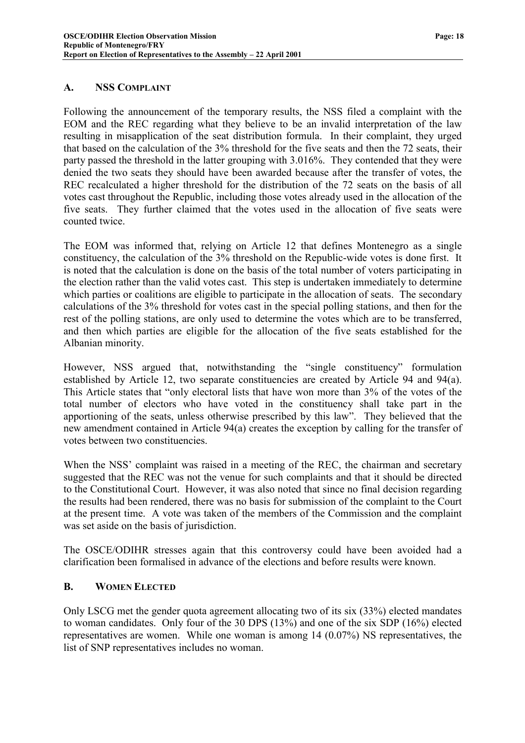#### <span id="page-19-0"></span>**A. NSS COMPLAINT**

Following the announcement of the temporary results, the NSS filed a complaint with the EOM and the REC regarding what they believe to be an invalid interpretation of the law resulting in misapplication of the seat distribution formula. In their complaint, they urged that based on the calculation of the 3% threshold for the five seats and then the 72 seats, their party passed the threshold in the latter grouping with 3.016%. They contended that they were denied the two seats they should have been awarded because after the transfer of votes, the REC recalculated a higher threshold for the distribution of the 72 seats on the basis of all votes cast throughout the Republic, including those votes already used in the allocation of the five seats. They further claimed that the votes used in the allocation of five seats were counted twice.

The EOM was informed that, relying on Article 12 that defines Montenegro as a single constituency, the calculation of the 3% threshold on the Republic-wide votes is done first. It is noted that the calculation is done on the basis of the total number of voters participating in the election rather than the valid votes cast. This step is undertaken immediately to determine which parties or coalitions are eligible to participate in the allocation of seats. The secondary calculations of the 3% threshold for votes cast in the special polling stations, and then for the rest of the polling stations, are only used to determine the votes which are to be transferred, and then which parties are eligible for the allocation of the five seats established for the Albanian minority.

However, NSS argued that, notwithstanding the "single constituency" formulation established by Article 12, two separate constituencies are created by Article 94 and 94(a). This Article states that "only electoral lists that have won more than 3% of the votes of the total number of electors who have voted in the constituency shall take part in the apportioning of the seats, unless otherwise prescribed by this law". They believed that the new amendment contained in Article 94(a) creates the exception by calling for the transfer of votes between two constituencies.

When the NSS' complaint was raised in a meeting of the REC, the chairman and secretary suggested that the REC was not the venue for such complaints and that it should be directed to the Constitutional Court. However, it was also noted that since no final decision regarding the results had been rendered, there was no basis for submission of the complaint to the Court at the present time. A vote was taken of the members of the Commission and the complaint was set aside on the basis of jurisdiction.

The OSCE/ODIHR stresses again that this controversy could have been avoided had a clarification been formalised in advance of the elections and before results were known.

#### **B. WOMEN ELECTED**

Only LSCG met the gender quota agreement allocating two of its six (33%) elected mandates to woman candidates. Only four of the 30 DPS (13%) and one of the six SDP (16%) elected representatives are women. While one woman is among 14 (0.07%) NS representatives, the list of SNP representatives includes no woman.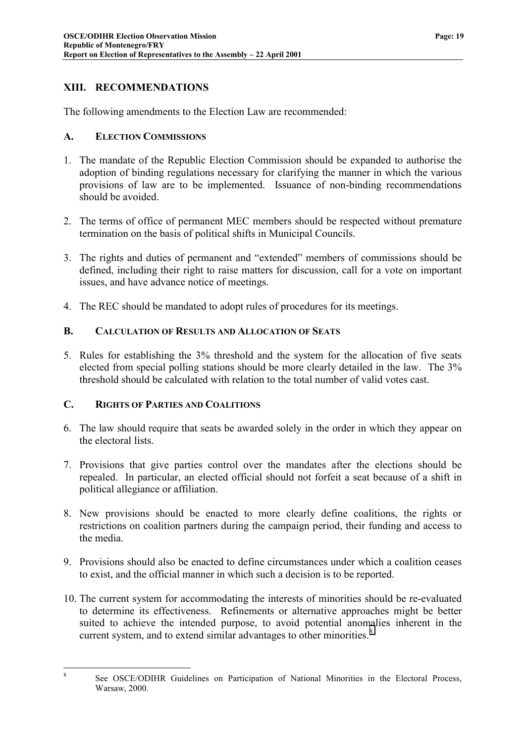# <span id="page-20-0"></span>**XIII. RECOMMENDATIONS**

The following amendments to the Election Law are recommended:

#### **A. ELECTION COMMISSIONS**

- 1. The mandate of the Republic Election Commission should be expanded to authorise the adoption of binding regulations necessary for clarifying the manner in which the various provisions of law are to be implemented. Issuance of non-binding recommendations should be avoided.
- 2. The terms of office of permanent MEC members should be respected without premature termination on the basis of political shifts in Municipal Councils.
- 3. The rights and duties of permanent and "extended" members of commissions should be defined, including their right to raise matters for discussion, call for a vote on important issues, and have advance notice of meetings.
- 4. The REC should be mandated to adopt rules of procedures for its meetings.

#### **B. CALCULATION OF RESULTS AND ALLOCATION OF SEATS**

5. Rules for establishing the 3% threshold and the system for the allocation of five seats elected from special polling stations should be more clearly detailed in the law. The 3% threshold should be calculated with relation to the total number of valid votes cast.

#### **C. RIGHTS OF PARTIES AND COALITIONS**

8

- 6. The law should require that seats be awarded solely in the order in which they appear on the electoral lists.
- 7. Provisions that give parties control over the mandates after the elections should be repealed. In particular, an elected official should not forfeit a seat because of a shift in political allegiance or affiliation.
- 8. New provisions should be enacted to more clearly define coalitions, the rights or restrictions on coalition partners during the campaign period, their funding and access to the media.
- 9. Provisions should also be enacted to define circumstances under which a coalition ceases to exist, and the official manner in which such a decision is to be reported.
- 10. The current system for accommodating the interests of minorities should be re-evaluated to determine its effectiveness. Refinements or alternative approaches might be better suited to achieve the intended purpose, to avoid potential anomalies inherent in the current system, and to extend similar advantages to other minorities.<sup>8</sup>

See OSCE/ODIHR Guidelines on Participation of National Minorities in the Electoral Process, Warsaw, 2000.